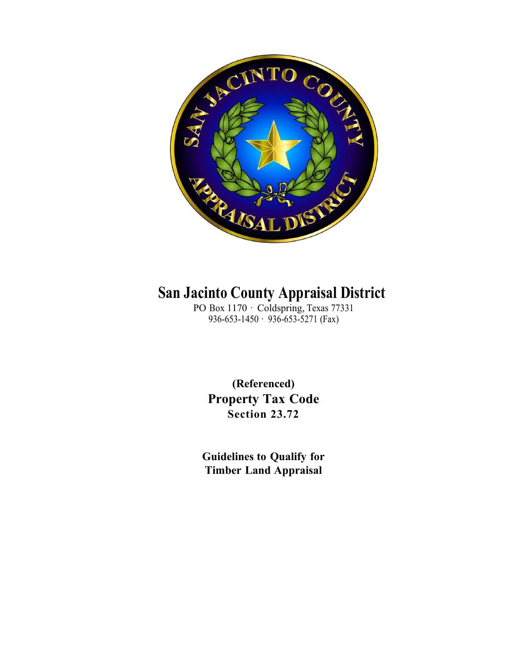

# **San Jacinto County Appraisal District**

PO Box 1170 · Coldspring, Texas 77331 936-653-1450 · 936-653-5271 (Fax)

**(Referenced) Property Tax Code Section 23.72**

**Guidelines to Qualify for Timber Land Appraisal**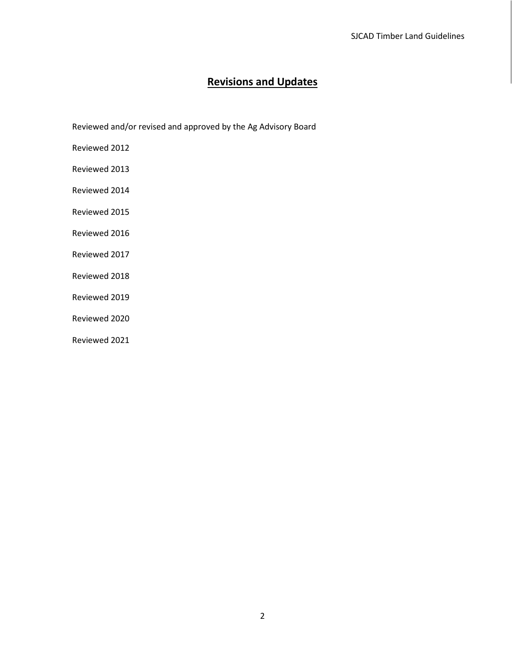# **Revisions and Updates**

Reviewed and/or revised and approved by the Ag Advisory Board

Reviewed 2012

Reviewed 2013

Reviewed 2014

Reviewed 2015

Reviewed 2016

Reviewed 2017

Reviewed 2018

Reviewed 2019

Reviewed 2020

Reviewed 2021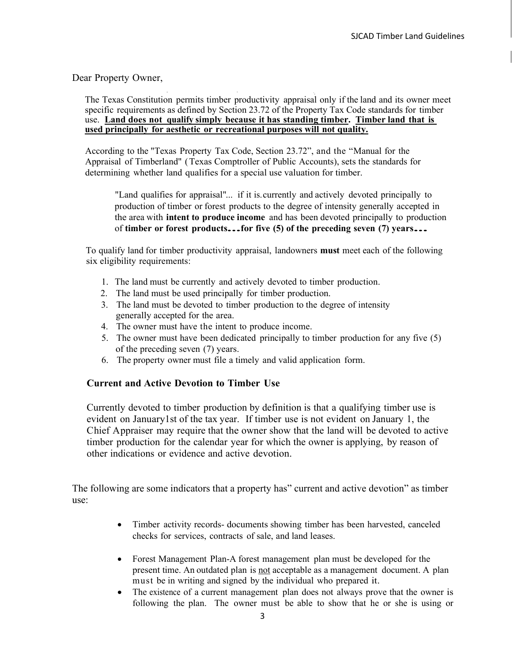#### Dear Property Owner,

The Texas Constitution permits timber productivity appraisal only if the land and its owner meet specific requirements as defined by Section 23.72 of the Property Tax Code standards for timber use. **Land does not qualify simply because it has standing timber. Timber land that is used principally for aesthetic or recreational purposes will not quality.**

According to the "Texas Property Tax Code, Section 23.72", and the "Manual for the Appraisal of Timberland" (Texas Comptroller of Public Accounts), sets the standards for determining whether land qualifies for a special use valuation for timber.

"Land qualifies for appraisal"... if it is.currently and actively devoted principally to production of timber or forest products to the degree of intensity generally accepted in the area with **intent to produce income** and has been devoted principally to production of **timber or forest products...for five (5) of the preceding seven (7) years...**

To qualify land for timber productivity appraisal, landowners **must** meet each of the following six eligibility requirements:

- 1. The land must be currently and actively devoted to timber production.
- 2. The land must be used principally for timber production.
- 3. The land must be devoted to timber production to the degree of intensity generally accepted for the area.
- 4. The owner must have the intent to produce income.
- 5. The owner must have been dedicated principally to timber production for any five (5) of the preceding seven (7) years.
- 6. The property owner must file a timely and valid application form.

#### **Current and Active Devotion to Timber Use**

Currently devoted to timber production by definition is that a qualifying timber use is evident on January1st of the tax year. If timber use is not evident on January 1, the Chief Appraiser may require that the owner show that the land will be devoted to active timber production for the calendar year for which the owner is applying, by reason of other indications or evidence and active devotion.

The following are some indicators that a property has" current and active devotion" as timber use:

- Timber activity records- documents showing timber has been harvested, canceled checks for services, contracts of sale, and land leases.
- Forest Management Plan-A forest management plan must be developed for the present time. An outdated plan is not acceptable as a management document. A plan must be in writing and signed by the individual who prepared it.
- The existence of a current management plan does not always prove that the owner is following the plan. The owner must be able to show that he or she is using or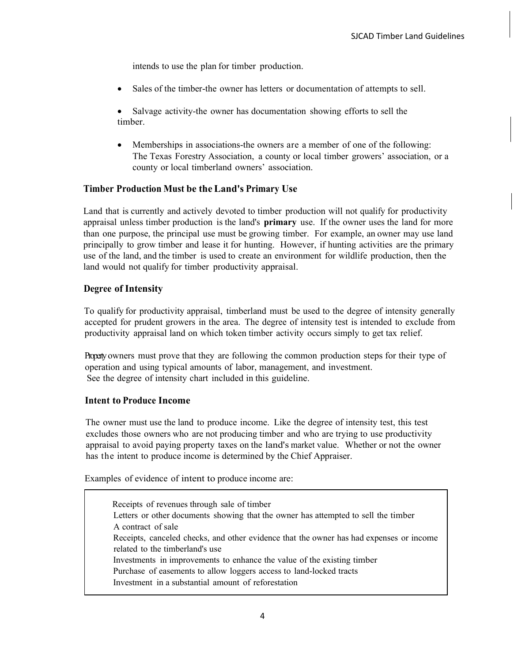intends to use the plan for timber production.

• Sales of the timber-the owner has letters or documentation of attempts to sell.

• Salvage activity-the owner has documentation showing efforts to sell the timber.

• Memberships in associations-the owners are a member of one of the following: The Texas Forestry Association, a county or local timber growers' association, or a county or local timberland owners' association.

#### **Timber Production Must be the Land's Primary Use**

Land that is currently and actively devoted to timber production will not qualify for productivity appraisal unless timber production is the land's **primary** use. If the owner uses the land for more than one purpose, the principal use must be growing timber. For example, an owner may use land principally to grow timber and lease it for hunting. However, if hunting activities are the primary use of the land, and the timber is used to create an environment for wildlife production, then the land would not qualify for timber productivity appraisal.

# **Degree of Intensity**

To qualify for productivity appraisal, timberland must be used to the degree of intensity generally accepted for prudent growers in the area. The degree of intensity test is intended to exclude from productivity appraisal land on which token timber activity occurs simply to get tax relief.

Property owners must prove that they are following the common production steps for their type of operation and using typical amounts of labor, management, and investment. See the degree of intensity chart included in this guideline.

#### **Intent to Produce Income**

The owner must use the land to produce income. Like the degree of intensity test, this test excludes those owners who are not producing timber and who are trying to use productivity appraisal to avoid paying property taxes on the land's market value. Whether or not the owner has the intent to produce income is determined by the Chief Appraiser.

Examples of evidence of intent to produce income are:

 Receipts of revenues through sale of timber Letters or other documents showing that the owner has attempted to sell the timber A contract of sale Receipts, canceled checks, and other evidence that the owner has had expenses or income related to the timberland's use Investments in improvements to enhance the value of the existing timber Purchase of easements to allow loggers access to land-locked tracts Investment in a substantial amount of reforestation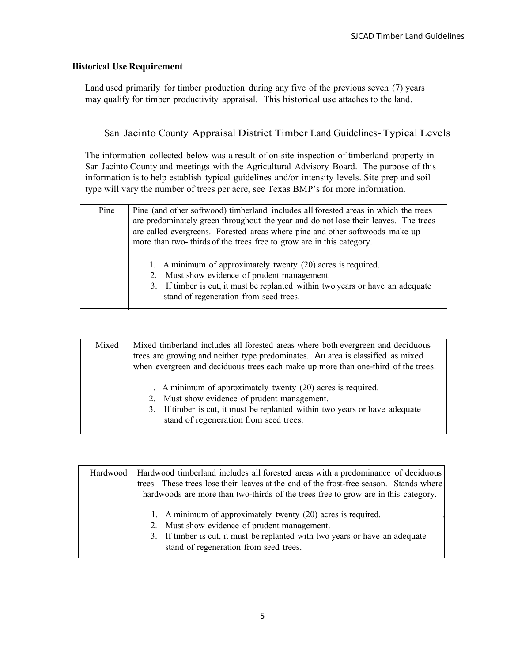#### **Historical Use Requirement**

Land used primarily for timber production during any five of the previous seven (7) years may qualify for timber productivity appraisal. This historical use attaches to the land.

## San Jacinto County Appraisal District Timber Land Guidelines-Typical Levels

The information collected below was a result of on-site inspection of timberland property in San Jacinto County and meetings with the Agricultural Advisory Board. The purpose of this information is to help establish typical guidelines and/or intensity levels. Site prep and soil type will vary the number of trees per acre, see Texas BMP's for more information.

| Pine | Pine (and other softwood) timberland includes all forested areas in which the trees<br>are predominately green throughout the year and do not lose their leaves. The trees<br>are called evergreens. Forested areas where pine and other softwoods make up<br>more than two-thirds of the trees free to grow are in this category.<br>1. A minimum of approximately twenty (20) acres is required.<br>2. Must show evidence of prudent management |
|------|---------------------------------------------------------------------------------------------------------------------------------------------------------------------------------------------------------------------------------------------------------------------------------------------------------------------------------------------------------------------------------------------------------------------------------------------------|
|      | 3. If timber is cut, it must be replanted within two years or have an adequate<br>stand of regeneration from seed trees.                                                                                                                                                                                                                                                                                                                          |

| Mixed | Mixed timberland includes all forested areas where both evergreen and deciduous<br>trees are growing and neither type predominates. An area is classified as mixed<br>when evergreen and deciduous trees each make up more than one-third of the trees. |
|-------|---------------------------------------------------------------------------------------------------------------------------------------------------------------------------------------------------------------------------------------------------------|
|       | 1. A minimum of approximately twenty (20) acres is required.<br>2. Must show evidence of prudent management.<br>3. If timber is cut, it must be replanted within two years or have adequate<br>stand of regeneration from seed trees.                   |

| Hardwood Hardwood timberland includes all forested areas with a predominance of deciduous<br>trees. These trees lose their leaves at the end of the frost-free season. Stands where<br>hardwoods are more than two-thirds of the trees free to grow are in this category. |
|---------------------------------------------------------------------------------------------------------------------------------------------------------------------------------------------------------------------------------------------------------------------------|
| 1. A minimum of approximately twenty (20) acres is required.<br>2. Must show evidence of prudent management.<br>3. If timber is cut, it must be replanted with two years or have an adequate<br>stand of regeneration from seed trees.                                    |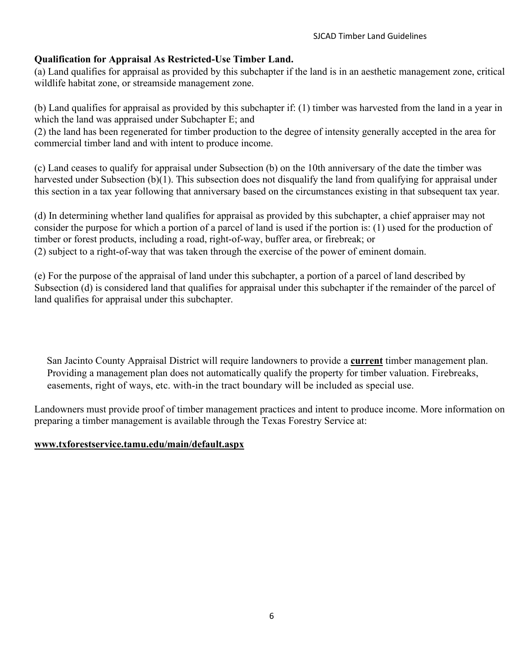# **Qualification for Appraisal As Restricted-Use Timber Land.**

(a) Land qualifies for appraisal as provided by this subchapter if the land is in an aesthetic management zone, critical wildlife habitat zone, or streamside management zone.

(b) Land qualifies for appraisal as provided by this subchapter if: (1) timber was harvested from the land in a year in which the land was appraised under Subchapter E; and

(2) the land has been regenerated for timber production to the degree of intensity generally accepted in the area for commercial timber land and with intent to produce income.

(c) Land ceases to qualify for appraisal under Subsection (b) on the 10th anniversary of the date the timber was harvested under Subsection (b)(1). This subsection does not disqualify the land from qualifying for appraisal under this section in a tax year following that anniversary based on the circumstances existing in that subsequent tax year.

(d) In determining whether land qualifies for appraisal as provided by this subchapter, a chief appraiser may not consider the purpose for which a portion of a parcel of land is used if the portion is: (1) used for the production of timber or forest products, including a road, right-of-way, buffer area, or firebreak; or (2) subject to a right-of-way that was taken through the exercise of the power of eminent domain.

(e) For the purpose of the appraisal of land under this subchapter, a portion of a parcel of land described by Subsection (d) is considered land that qualifies for appraisal under this subchapter if the remainder of the parcel of land qualifies for appraisal under this subchapter.

San Jacinto County Appraisal District will require landowners to provide a **current** timber management plan. Providing a management plan does not automatically qualify the property for timber valuation. Firebreaks, easements, right of ways, etc. with-in the tract boundary will be included as special use.

Landowners must provide proof of timber management practices and intent to produce income. More information on preparing a timber management is available through the Texas Forestry Service at:

# **[www.txforestservice.tamu.edu/main/default.aspx](http://www.txforestservice.tamu.edu/main/default.aspx)**